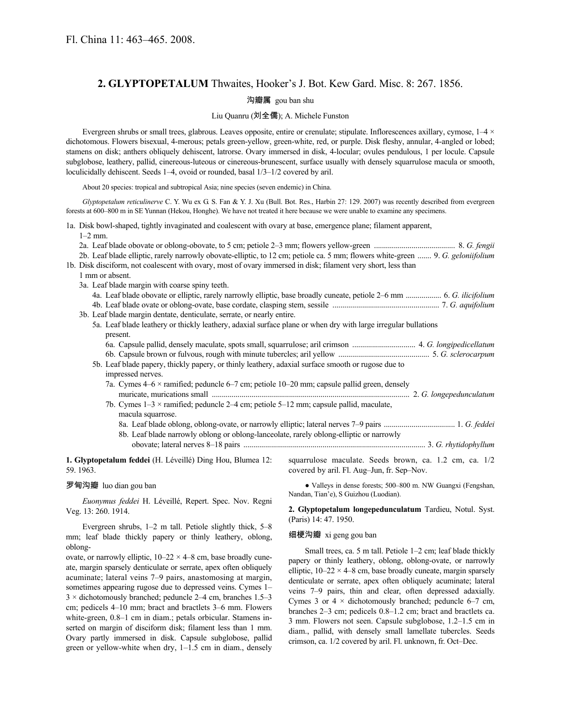# **2. GLYPTOPETALUM** Thwaites, Hooker's J. Bot. Kew Gard. Misc. 8: 267. 1856.

## 沟瓣属 gou ban shu

## Liu Quanru (刘全儒); A. Michele Funston

Evergreen shrubs or small trees, glabrous. Leaves opposite, entire or crenulate; stipulate. Inflorescences axillary, cymose,  $1-4 \times$ dichotomous. Flowers bisexual, 4-merous; petals green-yellow, green-white, red, or purple. Disk fleshy, annular, 4-angled or lobed; stamens on disk; anthers obliquely dehiscent, latrorse. Ovary immersed in disk, 4-locular; ovules pendulous, 1 per locule. Capsule subglobose, leathery, pallid, cinereous-luteous or cinereous-brunescent, surface usually with densely squarrulose macula or smooth, loculicidally dehiscent. Seeds 1–4, ovoid or rounded, basal 1/3–1/2 covered by aril.

About 20 species: tropical and subtropical Asia; nine species (seven endemic) in China.

*Glyptopetalum reticulinerve* C. Y. Wu ex G. S. Fan & Y. J. Xu (Bull. Bot. Res., Harbin 27: 129. 2007) was recently described from evergreen forests at 600–800 m in SE Yunnan (Hekou, Honghe). We have not treated it here because we were unable to examine any specimens.

1a. Disk bowl-shaped, tightly invaginated and coalescent with ovary at base, emergence plane; filament apparent,  $1-2$  mm

| 2b. Leaf blade elliptic, rarely narrowly obovate-elliptic, to 12 cm; petiole ca. 5 mm; flowers white-green  9. G. geloniifolium<br>1b. Disk disciform, not coalescent with ovary, most of ovary immersed in disk; filament very short, less than |
|--------------------------------------------------------------------------------------------------------------------------------------------------------------------------------------------------------------------------------------------------|
| 1 mm or absent.                                                                                                                                                                                                                                  |
| 3a. Leaf blade margin with coarse spiny teeth.                                                                                                                                                                                                   |
| 4a. Leaf blade obovate or elliptic, rarely narrowly elliptic, base broadly cuneate, petiole 2-6 mm  6. G. ilicifolium                                                                                                                            |
|                                                                                                                                                                                                                                                  |
| 3b. Leaf blade margin dentate, denticulate, serrate, or nearly entire.                                                                                                                                                                           |
| 5a. Leaf blade leathery or thickly leathery, adaxial surface plane or when dry with large irregular bullations<br>present.                                                                                                                       |
|                                                                                                                                                                                                                                                  |
|                                                                                                                                                                                                                                                  |
| 5b. Leaf blade papery, thickly papery, or thinly leathery, adaxial surface smooth or rugose due to                                                                                                                                               |
| impressed nerves.                                                                                                                                                                                                                                |
| 7a. Cymes $4-6 \times$ ramified; peduncle $6-7$ cm; petiole $10-20$ mm; capsule pallid green, densely                                                                                                                                            |
| 7b. Cymes $1-3 \times$ ramified; peduncle 2-4 cm; petiole 5-12 mm; capsule pallid, maculate,<br>macula squarrose.                                                                                                                                |
|                                                                                                                                                                                                                                                  |
| 8b. Leaf blade narrowly oblong or oblong-lanceolate, rarely oblong-elliptic or narrowly                                                                                                                                                          |
|                                                                                                                                                                                                                                                  |
| 1. Glyptopetalum feddei (H. Léveillé) Ding Hou, Blumea 12:<br>squarrulose maculate. Seeds brown, ca. 1.2 cm, ca. 1/2<br>59.1963.<br>covered by aril. Fl. Aug-Jun, fr. Sep-Nov.                                                                   |

### 罗甸沟瓣 luo dian gou ban

oblong-

*Euonymus feddei* H. Léveillé, Repert. Spec. Nov. Regni Veg. 13: 260. 1914.

Evergreen shrubs, 1–2 m tall. Petiole slightly thick, 5–8 mm; leaf blade thickly papery or thinly leathery, oblong,

● Valleys in dense forests; 500–800 m. NW Guangxi (Fengshan, Nandan, Tian'e), S Guizhou (Luodian).

**2. Glyptopetalum longepedunculatum** Tardieu, Notul. Syst. (Paris) 14: 47. 1950.

#### 细梗沟瓣 xi geng gou ban

ovate, or narrowly elliptic,  $10-22 \times 4-8$  cm, base broadly cuneate, margin sparsely denticulate or serrate, apex often obliquely acuminate; lateral veins 7–9 pairs, anastomosing at margin, sometimes appearing rugose due to depressed veins. Cymes 1– 3 × dichotomously branched; peduncle 2–4 cm, branches 1.5–3 cm; pedicels 4–10 mm; bract and bractlets 3–6 mm. Flowers white-green,  $0.8-1$  cm in diam.; petals orbicular. Stamens inserted on margin of disciform disk; filament less than 1 mm. Ovary partly immersed in disk. Capsule subglobose, pallid green or yellow-white when dry, 1–1.5 cm in diam., densely

Small trees, ca. 5 m tall. Petiole 1–2 cm; leaf blade thickly papery or thinly leathery, oblong, oblong-ovate, or narrowly elliptic,  $10-22 \times 4-8$  cm, base broadly cuneate, margin sparsely denticulate or serrate, apex often obliquely acuminate; lateral veins 7–9 pairs, thin and clear, often depressed adaxially. Cymes 3 or  $4 \times$  dichotomously branched; peduncle 6–7 cm, branches 2–3 cm; pedicels 0.8–1.2 cm; bract and bractlets ca. 3 mm. Flowers not seen. Capsule subglobose, 1.2–1.5 cm in diam., pallid, with densely small lamellate tubercles. Seeds crimson, ca. 1/2 covered by aril. Fl. unknown, fr. Oct–Dec.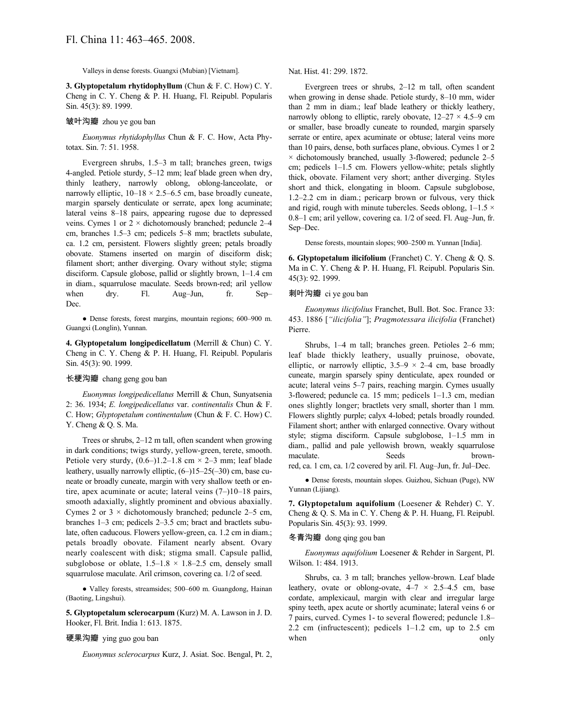Valleys in dense forests. Guangxi (Mubian) [Vietnam].

**3. Glyptopetalum rhytidophyllum** (Chun & F. C. How) C. Y. Cheng in C. Y. Cheng & P. H. Huang, Fl. Reipubl. Popularis Sin. 45(3): 89. 1999.

## 皱叶沟瓣 zhou ye gou ban

*Euonymus rhytidophyllus* Chun & F. C. How, Acta Phytotax. Sin. 7: 51. 1958.

Evergreen shrubs, 1.5–3 m tall; branches green, twigs 4-angled. Petiole sturdy, 5–12 mm; leaf blade green when dry, thinly leathery, narrowly oblong, oblong-lanceolate, or narrowly elliptic,  $10-18 \times 2.5-6.5$  cm, base broadly cuneate, margin sparsely denticulate or serrate, apex long acuminate; lateral veins 8–18 pairs, appearing rugose due to depressed veins. Cymes 1 or  $2 \times$  dichotomously branched; peduncle 2–4 cm, branches 1.5–3 cm; pedicels 5–8 mm; bractlets subulate, ca. 1.2 cm, persistent. Flowers slightly green; petals broadly obovate. Stamens inserted on margin of disciform disk; filament short; anther diverging. Ovary without style; stigma disciform. Capsule globose, pallid or slightly brown, 1–1.4 cm in diam., squarrulose maculate. Seeds brown-red; aril yellow when dry. Fl. Aug–Jun, fr. Sep– Dec.

● Dense forests, forest margins, mountain regions; 600–900 m. Guangxi (Longlin), Yunnan.

**4. Glyptopetalum longipedicellatum** (Merrill & Chun) C. Y. Cheng in C. Y. Cheng & P. H. Huang, Fl. Reipubl. Popularis Sin. 45(3): 90. 1999.

#### 长梗沟瓣 chang geng gou ban

*Euonymus longipedicellatus* Merrill & Chun, Sunyatsenia 2: 36. 1934; *E. longipedicellatus* var. *continentalis* Chun & F. C. How; *Glyptopetalum continentalum* (Chun & F. C. How) C. Y. Cheng & Q. S. Ma.

Trees or shrubs, 2–12 m tall, often scandent when growing in dark conditions; twigs sturdy, yellow-green, terete, smooth. Petiole very sturdy,  $(0.6-)1.2-1.8$  cm  $\times$  2-3 mm; leaf blade leathery, usually narrowly elliptic, (6–)15–25(–30) cm, base cuneate or broadly cuneate, margin with very shallow teeth or entire, apex acuminate or acute; lateral veins (7–)10–18 pairs, smooth adaxially, slightly prominent and obvious abaxially. Cymes 2 or  $3 \times$  dichotomously branched; peduncle 2–5 cm, branches 1–3 cm; pedicels 2–3.5 cm; bract and bractlets subulate, often caducous. Flowers yellow-green, ca. 1.2 cm in diam.; petals broadly obovate. Filament nearly absent. Ovary nearly coalescent with disk; stigma small. Capsule pallid, subglobose or oblate,  $1.5-1.8 \times 1.8-2.5$  cm, densely small squarrulose maculate. Aril crimson, covering ca. 1/2 of seed.

● Valley forests, streamsides; 500–600 m. Guangdong, Hainan (Baoting, Lingshui).

**5. Glyptopetalum sclerocarpum** (Kurz) M. A. Lawson in J. D. Hooker, Fl. Brit. India 1: 613. 1875.

#### 硬果沟瓣 ying guo gou ban

*Euonymus sclerocarpus* Kurz, J. Asiat. Soc. Bengal, Pt. 2,

Nat. Hist. 41: 299. 1872.

Evergreen trees or shrubs, 2–12 m tall, often scandent when growing in dense shade. Petiole sturdy, 8–10 mm, wider than 2 mm in diam.; leaf blade leathery or thickly leathery, narrowly oblong to elliptic, rarely obovate,  $12-27 \times 4.5-9$  cm or smaller, base broadly cuneate to rounded, margin sparsely serrate or entire, apex acuminate or obtuse; lateral veins more than 10 pairs, dense, both surfaces plane, obvious. Cymes 1 or 2  $\times$  dichotomously branched, usually 3-flowered; peduncle 2–5 cm; pedicels 1–1.5 cm. Flowers yellow-white; petals slightly thick, obovate. Filament very short; anther diverging. Styles short and thick, elongating in bloom. Capsule subglobose, 1.2–2.2 cm in diam.; pericarp brown or fulvous, very thick and rigid, rough with minute tubercles. Seeds oblong,  $1-1.5 \times$ 0.8–1 cm; aril yellow, covering ca. 1/2 of seed. Fl. Aug–Jun, fr. Sep–Dec.

Dense forests, mountain slopes; 900–2500 m. Yunnan [India].

**6. Glyptopetalum ilicifolium** (Franchet) C. Y. Cheng & Q. S. Ma in C. Y. Cheng & P. H. Huang, Fl. Reipubl. Popularis Sin. 45(3): 92. 1999.

#### 刺叶沟瓣 ci ye gou ban

*Euonymus ilicifolius* Franchet, Bull. Bot. Soc. France 33: 453. 1886 [*"ilicifolia"*]; *Pragmotessara ilicifolia* (Franchet) Pierre.

Shrubs, 1–4 m tall; branches green. Petioles 2–6 mm; leaf blade thickly leathery, usually pruinose, obovate, elliptic, or narrowly elliptic,  $3.5-9 \times 2-4$  cm, base broadly cuneate, margin sparsely spiny denticulate, apex rounded or acute; lateral veins 5–7 pairs, reaching margin. Cymes usually 3-flowered; peduncle ca. 15 mm; pedicels 1–1.3 cm, median ones slightly longer; bractlets very small, shorter than 1 mm. Flowers slightly purple; calyx 4-lobed; petals broadly rounded. Filament short; anther with enlarged connective. Ovary without style; stigma disciform. Capsule subglobose, 1–1.5 mm in diam., pallid and pale yellowish brown, weakly squarrulose maculate. Seeds brownred, ca. 1 cm, ca. 1/2 covered by aril. Fl. Aug–Jun, fr. Jul–Dec.

● Dense forests, mountain slopes. Guizhou, Sichuan (Puge), NW Yunnan (Lijiang).

**7. Glyptopetalum aquifolium** (Loesener & Rehder) C. Y. Cheng & Q. S. Ma in C. Y. Cheng & P. H. Huang, Fl. Reipubl. Popularis Sin. 45(3): 93. 1999.

#### 冬青沟瓣 dong qing gou ban

*Euonymus aquifolium* Loesener & Rehder in Sargent, Pl. Wilson. 1: 484. 1913.

Shrubs, ca. 3 m tall; branches yellow-brown. Leaf blade leathery, ovate or oblong-ovate,  $4-7 \times 2.5-4.5$  cm, base cordate, amplexicaul, margin with clear and irregular large spiny teeth, apex acute or shortly acuminate; lateral veins 6 or 7 pairs, curved. Cymes 1- to several flowered; peduncle 1.8– 2.2 cm (infructescent); pedicels 1–1.2 cm, up to 2.5 cm when only only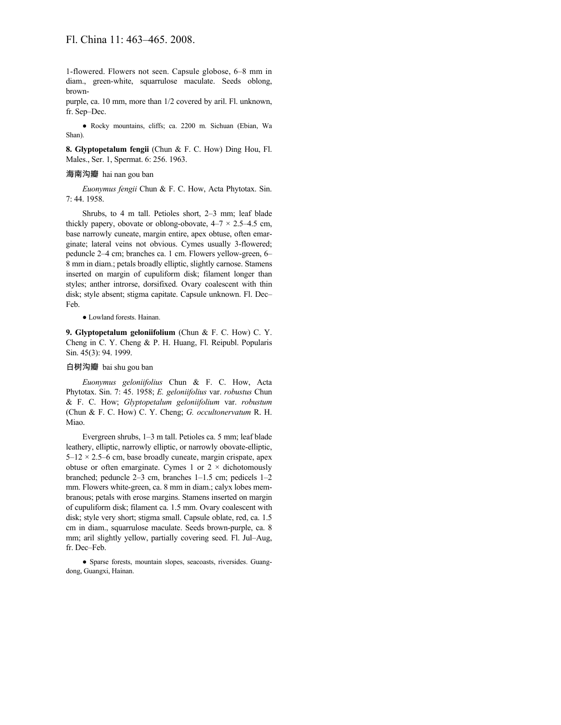1-flowered. Flowers not seen. Capsule globose, 6–8 mm in diam., green-white, squarrulose maculate. Seeds oblong, brown-

purple, ca. 10 mm, more than 1/2 covered by aril. Fl. unknown, fr. Sep–Dec.

● Rocky mountains, cliffs; ca. 2200 m. Sichuan (Ebian, Wa Shan).

**8. Glyptopetalum fengii** (Chun & F. C. How) Ding Hou, Fl. Males., Ser. 1, Spermat. 6: 256. 1963.

#### 海南沟瓣 hai nan gou ban

*Euonymus fengii* Chun & F. C. How, Acta Phytotax. Sin. 7: 44. 1958.

Shrubs, to 4 m tall. Petioles short, 2–3 mm; leaf blade thickly papery, obovate or oblong-obovate,  $4-7 \times 2.5-4.5$  cm, base narrowly cuneate, margin entire, apex obtuse, often emarginate; lateral veins not obvious. Cymes usually 3-flowered; peduncle 2–4 cm; branches ca. 1 cm. Flowers yellow-green, 6– 8 mm in diam.; petals broadly elliptic, slightly carnose. Stamens inserted on margin of cupuliform disk; filament longer than styles; anther introrse, dorsifixed. Ovary coalescent with thin disk; style absent; stigma capitate. Capsule unknown. Fl. Dec– Feb.

## ● Lowland forests. Hainan.

**9. Glyptopetalum geloniifolium** (Chun & F. C. How) C. Y. Cheng in C. Y. Cheng & P. H. Huang, Fl. Reipubl. Popularis Sin. 45(3): 94. 1999.

#### 白树沟瓣 bai shu gou ban

*Euonymus geloniifolius* Chun & F. C. How, Acta Phytotax. Sin. 7: 45. 1958; *E. geloniifolius* var. *robustus* Chun & F. C. How; *Glyptopetalum geloniifolium* var. *robustum* (Chun & F. C. How) C. Y. Cheng; *G. occultonervatum* R. H. Miao.

Evergreen shrubs, 1–3 m tall. Petioles ca. 5 mm; leaf blade leathery, elliptic, narrowly elliptic, or narrowly obovate-elliptic,  $5-12 \times 2.5-6$  cm, base broadly cuneate, margin crispate, apex obtuse or often emarginate. Cymes 1 or  $2 \times$  dichotomously branched; peduncle 2–3 cm, branches 1–1.5 cm; pedicels 1–2 mm. Flowers white-green, ca. 8 mm in diam.; calyx lobes membranous; petals with erose margins. Stamens inserted on margin of cupuliform disk; filament ca. 1.5 mm. Ovary coalescent with disk; style very short; stigma small. Capsule oblate, red, ca. 1.5 cm in diam., squarrulose maculate. Seeds brown-purple, ca. 8 mm; aril slightly yellow, partially covering seed. Fl. Jul–Aug, fr. Dec–Feb.

● Sparse forests, mountain slopes, seacoasts, riversides. Guangdong, Guangxi, Hainan.